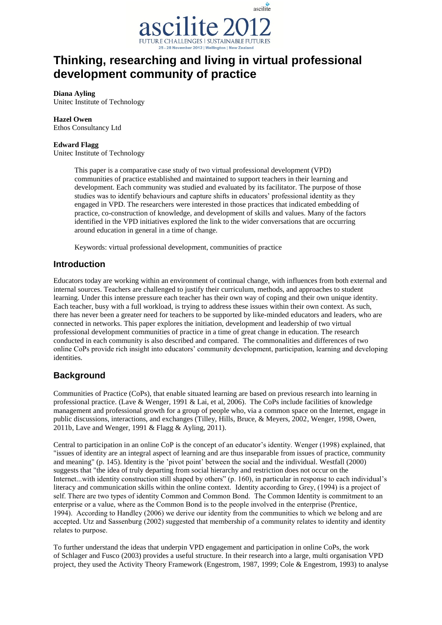

# **Thinking, researching and living in virtual professional development community of practice**

#### **Diana Ayling**

Unitec Institute of Technology

### **Hazel Owen**

Ethos Consultancy Ltd

### **Edward Flagg**

Unitec Institute of Technology

This paper is a comparative case study of two virtual professional development (VPD) communities of practice established and maintained to support teachers in their learning and development. Each community was studied and evaluated by its facilitator. The purpose of those studies was to identify behaviours and capture shifts in educators" professional identity as they engaged in VPD. The researchers were interested in those practices that indicated embedding of practice, co-construction of knowledge, and development of skills and values. Many of the factors identified in the VPD initiatives explored the link to the wider conversations that are occurring around education in general in a time of change.

Keywords: virtual professional development, communities of practice

# **Introduction**

Educators today are working within an environment of continual change, with influences from both external and internal sources. Teachers are challenged to justify their curriculum, methods, and approaches to student learning. Under this intense pressure each teacher has their own way of coping and their own unique identity. Each teacher, busy with a full workload, is trying to address these issues within their own context. As such, there has never been a greater need for teachers to be supported by like-minded educators and leaders, who are connected in networks. This paper explores the initiation, development and leadership of two virtual professional development communities of practice in a time of great change in education. The research conducted in each community is also described and compared. The commonalities and differences of two online CoPs provide rich insight into educators" community development, participation, learning and developing identities.

# **Background**

Communities of Practice (CoPs), that enable situated learning are based on previous research into learning in professional practice. (Lave & Wenger, 1991 & Lai, et al, 2006). The CoPs include facilities of knowledge management and professional growth for a group of people who, via a common space on the Internet, engage in public discussions, interactions, and exchanges (Tilley, Hills, Bruce, & Meyers, 2002, Wenger, 1998, Owen, 2011b, Lave and Wenger, 1991 & Flagg & Ayling, 2011).

Central to participation in an online CoP is the concept of an educator"s identity. Wenger (1998) explained, that "issues of identity are an integral aspect of learning and are thus inseparable from issues of practice, community and meaning" (p. 145). Identity is the "pivot point" between the social and the individual. Westfall (2000) suggests that "the idea of truly departing from social hierarchy and restriction does not occur on the Internet...with identity construction still shaped by others" (p. 160), in particular in response to each individual"s literacy and communication skills within the online context. Identity according to Grey, (1994) is a project of self. There are two types of identity Common and Common Bond. The Common Identity is commitment to an enterprise or a value, where as the Common Bond is to the people involved in the enterprise (Prentice, 1994). According to Handley (2006) we derive our identity from the communities to which we belong and are accepted. Utz and Sassenburg (2002) suggested that membership of a community relates to identity and identity relates to purpose.

To further understand the ideas that underpin VPD engagement and participation in online CoPs, the work of Schlager and Fusco (2003) provides a useful structure. In their research into a large, multi organisation VPD project, they used the Activity Theory Framework (Engestrom, 1987, 1999; Cole & Engestrom, 1993) to analyse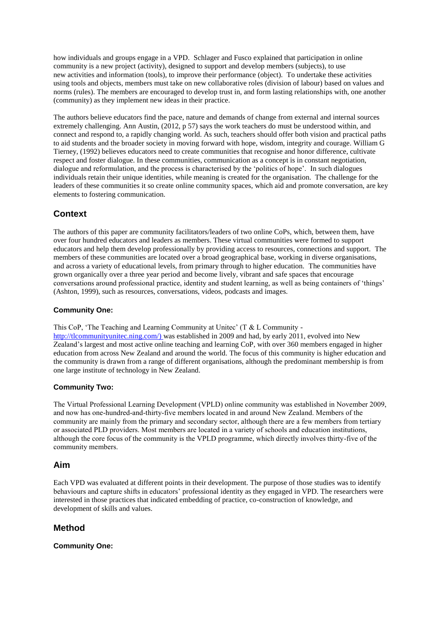how individuals and groups engage in a VPD. Schlager and Fusco explained that participation in online community is a new project (activity), designed to support and develop members (subjects), to use new activities and information (tools), to improve their performance (object). To undertake these activities using tools and objects, members must take on new collaborative roles (division of labour) based on values and norms (rules). The members are encouraged to develop trust in, and form lasting relationships with, one another (community) as they implement new ideas in their practice.

The authors believe educators find the pace, nature and demands of change from external and internal sources extremely challenging. Ann Austin, (2012, p 57) says the work teachers do must be understood within, and connect and respond to, a rapidly changing world. As such, teachers should offer both vision and practical paths to aid students and the broader society in moving forward with hope, wisdom, integrity and courage. William G Tierney, (1992) believes educators need to create communities that recognise and honor difference, cultivate respect and foster dialogue. In these communities, communication as a concept is in constant negotiation, dialogue and reformulation, and the process is characterised by the "politics of hope". In such dialogues individuals retain their unique identities, while meaning is created for the organisation. The challenge for the leaders of these communities it so create online community spaces, which aid and promote conversation, are key elements to fostering communication.

# **Context**

The authors of this paper are community facilitators/leaders of two online CoPs, which, between them, have over four hundred educators and leaders as members. These virtual communities were formed to support educators and help them develop professionally by providing access to resources, connections and support. The members of these communities are located over a broad geographical base, working in diverse organisations, and across a variety of educational levels, from primary through to higher education. The communities have grown organically over a three year period and become lively, vibrant and safe spaces that encourage conversations around professional practice, identity and student learning, as well as being containers of "things" (Ashton, 1999), such as resources, conversations, videos, podcasts and images.

### **Community One:**

This CoP, 'The Teaching and Learning Community at United' (T & L Community -

[http://tlcommunityunitec.ning.com/\)](http://tlcommunityunitec.ning.com/) was established in 2009 and had, by early 2011, evolved into New Zealand's largest and most active online teaching and learning CoP, with over 360 members engaged in higher education from across New Zealand and around the world. The focus of this community is higher education and the community is drawn from a range of different organisations, although the predominant membership is from one large institute of technology in New Zealand.

### **Community Two:**

The Virtual Professional Learning Development (VPLD) online community was established in November 2009, and now has one-hundred-and-thirty-five members located in and around New Zealand. Members of the community are mainly from the primary and secondary sector, although there are a few members from tertiary or associated PLD providers. Most members are located in a variety of schools and education institutions, although the core focus of the community is the VPLD programme, which directly involves thirty-five of the community members.

### **Aim**

Each VPD was evaluated at different points in their development. The purpose of those studies was to identify behaviours and capture shifts in educators" professional identity as they engaged in VPD. The researchers were interested in those practices that indicated embedding of practice, co-construction of knowledge, and development of skills and values.

# **Method**

**Community One:**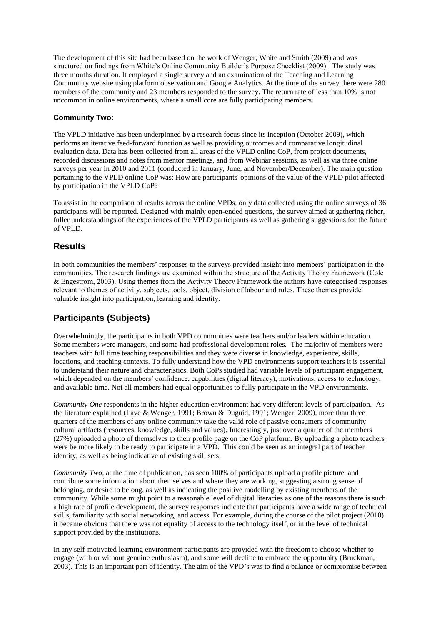The development of this site had been based on the work of Wenger, White and Smith (2009) and was structured on findings from White"s Online Community Builder"s Purpose Checklist (2009). The study was three months duration. It employed a single survey and an examination of the Teaching and Learning Community website using platform observation and Google Analytics. At the time of the survey there were 280 members of the community and 23 members responded to the survey. The return rate of less than 10% is not uncommon in online environments, where a small core are fully participating members.

### **Community Two:**

The VPLD initiative has been underpinned by a research focus since its inception (October 2009), which performs an iterative feed-forward function as well as providing outcomes and comparative longitudinal evaluation data. Data has been collected from all areas of the VPLD online CoP, from project documents, recorded discussions and notes from mentor meetings, and from Webinar sessions, as well as via three online surveys per year in 2010 and 2011 (conducted in January, June, and November/December). The main question pertaining to the VPLD online CoP was: How are participants' opinions of the value of the VPLD pilot affected by participation in the VPLD CoP?

To assist in the comparison of results across the online VPDs, only data collected using the online surveys of 36 participants will be reported. Designed with mainly open-ended questions, the survey aimed at gathering richer, fuller understandings of the experiences of the VPLD participants as well as gathering suggestions for the future of VPLD.

### **Results**

In both communities the members' responses to the surveys provided insight into members' participation in the communities. The research findings are examined within the structure of the Activity Theory Framework (Cole & Engestrom, 2003). Using themes from the Activity Theory Framework the authors have categorised responses relevant to themes of activity, subjects, tools, object, division of labour and rules. These themes provide valuable insight into participation, learning and identity.

# **Participants (Subjects)**

Overwhelmingly, the participants in both VPD communities were teachers and/or leaders within education. Some members were managers, and some had professional development roles. The majority of members were teachers with full time teaching responsibilities and they were diverse in knowledge, experience, skills, locations, and teaching contexts. To fully understand how the VPD environments support teachers it is essential to understand their nature and characteristics. Both CoPs studied had variable levels of participant engagement, which depended on the members' confidence, capabilities (digital literacy), motivations, access to technology, and available time. Not all members had equal opportunities to fully participate in the VPD environments.

*Community One* respondents in the higher education environment had very different levels of participation. As the literature explained (Lave & Wenger, 1991; Brown & Duguid, 1991; Wenger, 2009), more than three quarters of the members of any online community take the valid role of passive consumers of community cultural artifacts (resources, knowledge, skills and values). Interestingly, just over a quarter of the members (27%) uploaded a photo of themselves to their profile page on the CoP platform. By uploading a photo teachers were be more likely to be ready to participate in a VPD. This could be seen as an integral part of teacher identity, as well as being indicative of existing skill sets.

*Community Two*, at the time of publication, has seen 100% of participants upload a profile picture, and contribute some information about themselves and where they are working, suggesting a strong sense of belonging, or desire to belong, as well as indicating the positive modelling by existing members of the community. While some might point to a reasonable level of digital literacies as one of the reasons there is such a high rate of profile development, the survey responses indicate that participants have a wide range of technical skills, familiarity with social networking, and access. For example, during the course of the pilot project (2010) it became obvious that there was not equality of access to the technology itself, or in the level of technical support provided by the institutions.

In any self-motivated learning environment participants are provided with the freedom to choose whether to engage (with or without genuine enthusiasm), and some will decline to embrace the opportunity (Bruckman, 2003). This is an important part of identity. The aim of the VPD"s was to find a balance or compromise between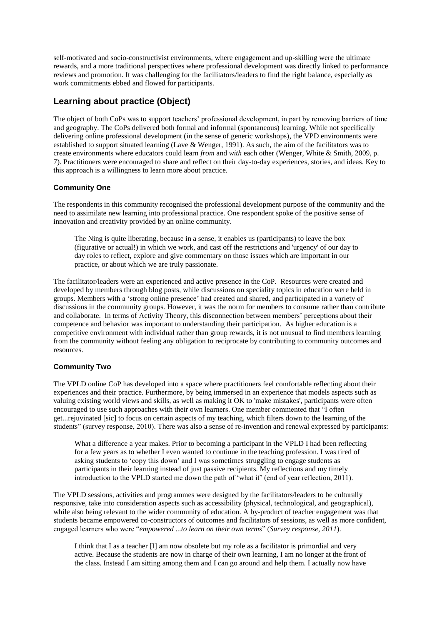self-motivated and socio-constructivist environments, where engagement and up-skilling were the ultimate rewards, and a more traditional perspectives where professional development was directly linked to performance reviews and promotion. It was challenging for the facilitators/leaders to find the right balance, especially as work commitments ebbed and flowed for participants.

# **Learning about practice (Object)**

The object of both CoPs was to support teachers" professional development, in part by removing barriers of time and geography. The CoPs delivered both formal and informal (spontaneous) learning. While not specifically delivering online professional development (in the sense of generic workshops), the VPD environments were established to support situated learning (Lave & Wenger, 1991). As such, the aim of the facilitators was to create environments where educators could learn *from* and *with* each other (Wenger, White & Smith, 2009, p. 7)*.* Practitioners were encouraged to share and reflect on their day-to-day experiences, stories, and ideas. Key to this approach is a willingness to learn more about practice.

### **Community One**

The respondents in this community recognised the professional development purpose of the community and the need to assimilate new learning into professional practice. One respondent spoke of the positive sense of innovation and creativity provided by an online community.

The Ning is quite liberating, because in a sense, it enables us (participants) to leave the box (figurative or actual!) in which we work, and cast off the restrictions and 'urgency' of our day to day roles to reflect, explore and give commentary on those issues which are important in our practice, or about which we are truly passionate.

The facilitator/leaders were an experienced and active presence in the CoP. Resources were created and developed by members through blog posts, while discussions on speciality topics in education were held in groups. Members with a "strong online presence" had created and shared, and participated in a variety of discussions in the community groups. However, it was the norm for members to consume rather than contribute and collaborate. In terms of Activity Theory, this disconnection between members" perceptions about their competence and behavior was important to understanding their participation. As higher education is a competitive environment with individual rather than group rewards, it is not unusual to find members learning from the community without feeling any obligation to reciprocate by contributing to community outcomes and resources.

### **Community Two**

The VPLD online CoP has developed into a space where practitioners feel comfortable reflecting about their experiences and their practice. Furthermore, by being immersed in an experience that models aspects such as valuing existing world views and skills, as well as making it OK to 'make mistakes', participants were often encouraged to use such approaches with their own learners. One member commented that "I often get...rejuvinated [sic] to focus on certain aspects of my teaching, which filters down to the learning of the students" (survey response, 2010). There was also a sense of re-invention and renewal expressed by participants:

What a difference a year makes. Prior to becoming a participant in the VPLD I had been reflecting for a few years as to whether I even wanted to continue in the teaching profession. I was tired of asking students to "copy this down" and I was sometimes struggling to engage students as participants in their learning instead of just passive recipients. My reflections and my timely introduction to the VPLD started me down the path of "what if" (end of year reflection, 2011).

The VPLD sessions, activities and programmes were designed by the facilitators/leaders to be culturally responsive, take into consideration aspects such as accessibility (physical, technological, and geographical), while also being relevant to the wider community of education. A by-product of teacher engagement was that students became empowered co-constructors of outcomes and facilitators of sessions, as well as more confident, engaged learners who were "*empowered ...to learn on their own terms*" (*Survey response, 2011*).

I think that I as a teacher [I] am now obsolete but my role as a facilitator is primordial and very active. Because the students are now in charge of their own learning, I am no longer at the front of the class. Instead I am sitting among them and I can go around and help them. I actually now have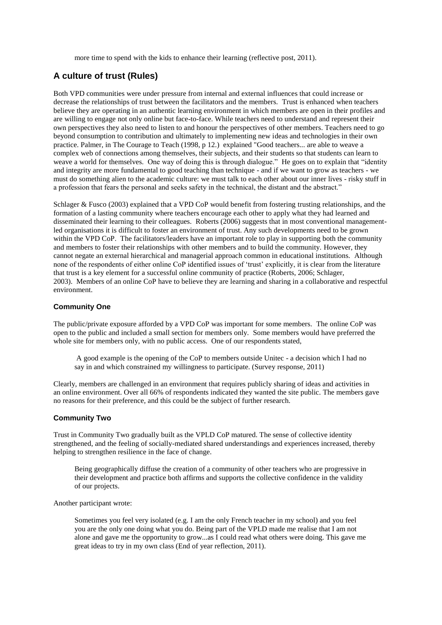more time to spend with the kids to enhance their learning (reflective post, 2011).

### **A culture of trust (Rules)**

Both VPD communities were under pressure from internal and external influences that could increase or decrease the relationships of trust between the facilitators and the members. Trust is enhanced when teachers believe they are operating in an authentic learning environment in which members are open in their profiles and are willing to engage not only online but face-to-face. While teachers need to understand and represent their own perspectives they also need to listen to and honour the perspectives of other members. Teachers need to go beyond consumption to contribution and ultimately to implementing new ideas and technologies in their own practice. Palmer, in The Courage to Teach (1998, p 12.) explained "Good teachers... are able to weave a complex web of connections among themselves, their subjects, and their students so that students can learn to weave a world for themselves. One way of doing this is through dialogue." He goes on to explain that "identity" and integrity are more fundamental to good teaching than technique - and if we want to grow as teachers - we must do something alien to the academic culture: we must talk to each other about our inner lives - risky stuff in a profession that fears the personal and seeks safety in the technical, the distant and the abstract."

Schlager & Fusco (2003) explained that a VPD CoP would benefit from fostering trusting relationships, and the formation of a lasting community where teachers encourage each other to apply what they had learned and disseminated their learning to their colleagues. Roberts (2006) suggests that in most conventional managementled organisations it is difficult to foster an environment of trust. Any such developments need to be grown within the VPD CoP. The facilitators/leaders have an important role to play in supporting both the community and members to foster their relationships with other members and to build the community. However, they cannot negate an external hierarchical and managerial approach common in educational institutions. Although none of the respondents of either online CoP identified issues of 'trust' explicitly, it is clear from the literature that trust is a key element for a successful online community of practice (Roberts, 2006; Schlager, 2003). Members of an online CoP have to believe they are learning and sharing in a collaborative and respectful environment.

#### **Community One**

The public/private exposure afforded by a VPD CoP was important for some members. The online CoP was open to the public and included a small section for members only. Some members would have preferred the whole site for members only, with no public access. One of our respondents stated,

A good example is the opening of the CoP to members outside Unitec - a decision which I had no say in and which constrained my willingness to participate. (Survey response, 2011)

Clearly, members are challenged in an environment that requires publicly sharing of ideas and activities in an online environment. Over all 66% of respondents indicated they wanted the site public. The members gave no reasons for their preference, and this could be the subject of further research.

#### **Community Two**

Trust in Community Two gradually built as the VPLD CoP matured. The sense of collective identity strengthened, and the feeling of socially-mediated shared understandings and experiences increased, thereby helping to strengthen resilience in the face of change.

Being geographically diffuse the creation of a community of other teachers who are progressive in their development and practice both affirms and supports the collective confidence in the validity of our projects.

Another participant wrote:

Sometimes you feel very isolated (e.g. I am the only French teacher in my school) and you feel you are the only one doing what you do. Being part of the VPLD made me realise that I am not alone and gave me the opportunity to grow...as I could read what others were doing. This gave me great ideas to try in my own class (End of year reflection, 2011).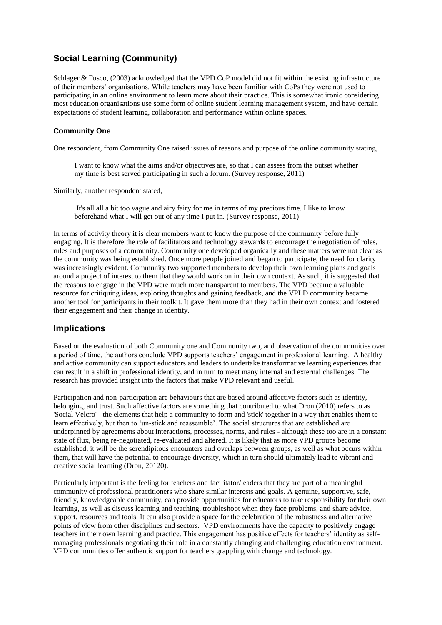# **Social Learning (Community)**

Schlager & Fusco, (2003) acknowledged that the VPD CoP model did not fit within the existing infrastructure of their members" organisations. While teachers may have been familiar with CoPs they were not used to participating in an online environment to learn more about their practice. This is somewhat ironic considering most education organisations use some form of online student learning management system, and have certain expectations of student learning, collaboration and performance within online spaces.

### **Community One**

One respondent, from Community One raised issues of reasons and purpose of the online community stating,

I want to know what the aims and/or objectives are, so that I can assess from the outset whether my time is best served participating in such a forum. (Survey response, 2011)

Similarly, another respondent stated,

It's all all a bit too vague and airy fairy for me in terms of my precious time. I like to know beforehand what I will get out of any time I put in. (Survey response, 2011)

In terms of activity theory it is clear members want to know the purpose of the community before fully engaging. It is therefore the role of facilitators and technology stewards to encourage the negotiation of roles, rules and purposes of a community. Community one developed organically and these matters were not clear as the community was being established. Once more people joined and began to participate, the need for clarity was increasingly evident. Community two supported members to develop their own learning plans and goals around a project of interest to them that they would work on in their own context. As such, it is suggested that the reasons to engage in the VPD were much more transparent to members. The VPD became a valuable resource for critiquing ideas, exploring thoughts and gaining feedback, and the VPLD community became another tool for participants in their toolkit. It gave them more than they had in their own context and fostered their engagement and their change in identity.

# **Implications**

Based on the evaluation of both Community one and Community two, and observation of the communities over a period of time, the authors conclude VPD supports teachers" engagement in professional learning. A healthy and active community can support educators and leaders to undertake transformative learning experiences that can result in a shift in professional identity, and in turn to meet many internal and external challenges. The research has provided insight into the factors that make VPD relevant and useful.

Participation and non-participation are behaviours that are based around affective factors such as identity, belonging, and trust. Such affective factors are something that contributed to what Dron (2010) refers to as 'Social Velcro' - the elements that help a community to form and 'stick' together in a way that enables them to learn effectively, but then to "un-stick and reassemble". The social structures that are established are underpinned by agreements about interactions, processes, norms, and rules - although these too are in a constant state of flux, being re-negotiated, re-evaluated and altered. It is likely that as more VPD groups become established, it will be the serendipitous encounters and overlaps between groups, as well as what occurs within them, that will have the potential to encourage diversity, which in turn should ultimately lead to vibrant and creative social learning (Dron, 20120).

Particularly important is the feeling for teachers and facilitator/leaders that they are part of a meaningful community of professional practitioners who share similar interests and goals. A genuine, supportive, safe, friendly, knowledgeable community, can provide opportunities for educators to take responsibility for their own learning, as well as discuss learning and teaching, troubleshoot when they face problems, and share advice, support, resources and tools. It can also provide a space for the celebration of the robustness and alternative points of view from other disciplines and sectors. VPD environments have the capacity to positively engage teachers in their own learning and practice. This engagement has positive effects for teachers" identity as selfmanaging professionals negotiating their role in a constantly changing and challenging education environment. VPD communities offer authentic support for teachers grappling with change and technology.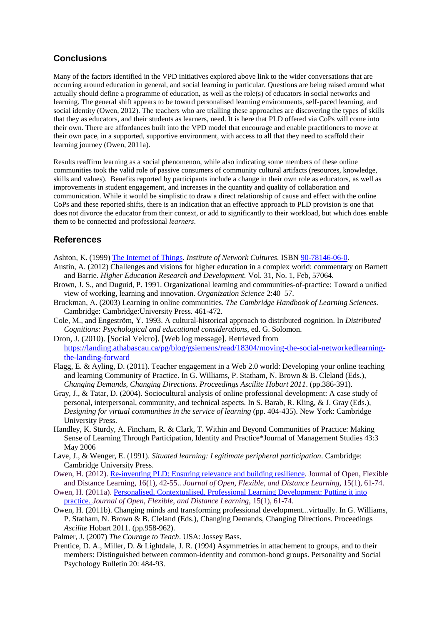# **Conclusions**

Many of the factors identified in the VPD initiatives explored above link to the wider conversations that are occurring around education in general, and social learning in particular. Questions are being raised around what actually should define a programme of education, as well as the role(s) of educators in social networks and learning. The general shift appears to be toward personalised learning environments, self-paced learning, and social identity (Owen, 2012). The teachers who are trialling these approaches are discovering the types of skills that they as educators, and their students as learners, need. It is here that PLD offered via CoPs will come into their own. There are affordances built into the VPD model that encourage and enable practitioners to move at their own pace, in a supported, supportive environment, with access to all that they need to scaffold their learning journey (Owen, 2011a).

Results reaffirm learning as a social phenomenon, while also indicating some members of these online communities took the valid role of passive consumers of community cultural artifacts (resources, knowledge, skills and values). Benefits reported by participants include a change in their own role as educators, as well as improvements in student engagement, and increases in the quantity and quality of collaboration and communication. While it would be simplistic to draw a direct relationship of cause and effect with the online CoPs and these reported shifts, there is an indication that an effective approach to PLD provision is one that does not divorce the educator from their context, or add to significantly to their workload, but which does enable them to be connected and professional *learners*.

# **References**

Ashton, K. (1999) [The Internet of Things.](http://www.networkcultures.org/_uploads/notebook2_theinternetofthings.pdf) *Institute of Network Cultures.* ISBN [90-78146-06-0.](http://en.wikipedia.org/wiki/Special:BookSources/90-78146-06-0)

- Austin, A. (2012) Challenges and visions for higher education in a complex world: commentary on Barnett and Barrie. *Higher Education Research and Development.* Vol. 31, No. 1, Feb, 57064.
- Brown, J. S., and Duguid, P. 1991. Organizational learning and communities-of-practice: Toward a unified view of working, learning and innovation. *Organization Science* 2:40–57.
- Bruckman, A. (2003) Learning in online communities. *The Cambridge Handbook of Learning Sciences*. Cambridge: Cambridge:University Press. 461-472.
- Cole, M., and Engeström, Y. 1993. A cultural-historical approach to distributed cognition. In *Distributed Cognitions: Psychological and educational considerations*, ed. G. Solomon.
- Dron, J. (2010). [Social Velcro]. [Web log message]. Retrieved from [https://landing.athabascau.ca/pg/blog/gsiemens/read/18304/moving-the-social-networkedlearning](https://landing.athabascau.ca/pg/blog/gsiemens/read/18304/moving-the-social-networkedlearning-the-landing-forward)[the-landing-forward](https://landing.athabascau.ca/pg/blog/gsiemens/read/18304/moving-the-social-networkedlearning-the-landing-forward)
- Flagg, E. & Ayling, D. (2011). Teacher engagement in a Web 2.0 world: Developing your online teaching and learning Community of Practice. In G. Williams, P. Statham, N. Brown & B. Cleland (Eds.), *Changing Demands, Changing Directions. Proceedings Ascilite Hobart 2011*. (pp.386-391).
- Gray, J., & Tatar, D. (2004). Sociocultural analysis of online professional development: A case study of personal, interpersonal, community, and technical aspects. In S. Barab, R. Kling, & J. Gray (Eds.), *Designing for virtual communities in the service of learning* (pp. 404-435). New York: Cambridge University Press.
- Handley, K. Sturdy, A. Fincham, R. & Clark, T. Within and Beyond Communities of Practice: Making Sense of Learning Through Participation, Identity and Practice\*Journal of Management Studies 43:3 May 2006
- Lave, J., & Wenger, E. (1991). *Situated learning: Legitimate peripheral participation*. Cambridge: Cambridge University Press.
- Owen, H. (2012). [Re-inventing PLD: Ensuring relevance and building resilience.](http://journals.akoaotearoa.ac.nz/index.php/JOFDL/article/view/91) Journal of Open, Flexible and Distance Learning, 16(1), 42-55.. *Journal of Open, Flexible, and Distance Learning*, 15(1), 61-74.
- Owen, H. (2011a). [Personalised, Contextualised, Professional Learning Development: Putting it into](http://journals.akoaotearoa.ac.nz/index.php/JOFDL/article/view/13/16)  [practice.](http://journals.akoaotearoa.ac.nz/index.php/JOFDL/article/view/13/16) *Journal of Open, Flexible, and Distance Learning*, 15(1), 61-74.
- Owen, H. (2011b). Changing minds and transforming professional development...virtually. In G. Williams, P. Statham, N. Brown & B. Cleland (Eds.), Changing Demands, Changing Directions. Proceedings *Ascilite* Hobart 2011. (pp.958-962).
- Palmer, J. (2007) *The Courage to Teach*. USA: Jossey Bass.
- Prentice, D. A., Miller, D. & Lightdale, J. R. (1994) Asymmetries in attachement to groups, and to their members: Distinguished between common-identity and common-bond groups. Personality and Social Psychology Bulletin 20: 484-93.